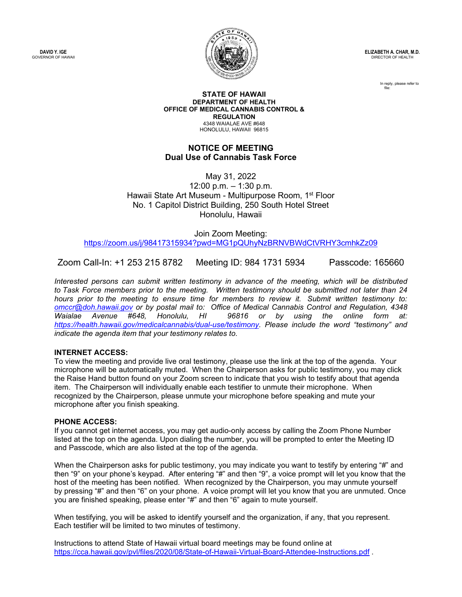**DAVID Y. IGE** GOVERNOR OF HAWAII



**ELIZABETH A. CHAR, M.D.** DIRECTOR OF HEALTH

> In reply, please refer to file:

#### **STATE OF HAWAII DEPARTMENT OF HEALTH OFFICE OF MEDICAL CANNABIS CONTROL & REGULATION** 4348 WAIALAE AVE #648 HONOLULU, HAWAII 96815

## **NOTICE OF MEETING Dual Use of Cannabis Task Force**

May 31, 2022

12:00 p.m. – 1:30 p.m. Hawaii State Art Museum - Multipurpose Room, 1<sup>st</sup> Floor No. 1 Capitol District Building, 250 South Hotel Street Honolulu, Hawaii

Join Zoom Meeting: <https://zoom.us/j/98417315934?pwd=MG1pQUhyNzBRNVBWdCtVRHY3cmhkZz09>

Zoom Call-In: +1 253 215 8782 Meeting ID: 984 1731 5934 Passcode: 165660

*Interested persons can submit written testimony in advance of the meeting, which will be distributed to Task Force members prior to the meeting.  Written testimony should be submitted not later than 24 hours prior to the meeting to ensure time for members to review it.  Submit written testimony to: [omccr@doh.hawaii.gov](mailto:omccr@doh.hawaii.gov) or by postal mail to: Office of Medical Cannabis Control and Regulation, 4348 Waialae Avenue #648, Honolulu, HI 96816 or by using the online form at: [https://health.hawaii.gov/medicalcannabis/dual](https://health.hawaii.gov/medicalcannabis/dual-use/testimony)-use/testimony. Please include the word "testimony" and indicate the agenda item that your testimony relates to.* 

### **INTERNET ACCESS:**

To view the meeting and provide live oral testimony, please use the link at the top of the agenda. Your microphone will be automatically muted. When the Chairperson asks for public testimony, you may click the Raise Hand button found on your Zoom screen to indicate that you wish to testify about that agenda item. The Chairperson will individually enable each testifier to unmute their microphone. When recognized by the Chairperson, please unmute your microphone before speaking and mute your microphone after you finish speaking.

### **PHONE ACCESS:**

If you cannot get internet access, you may get audio-only access by calling the Zoom Phone Number listed at the top on the agenda. Upon dialing the number, you will be prompted to enter the Meeting ID and Passcode, which are also listed at the top of the agenda.

When the Chairperson asks for public testimony, you may indicate you want to testify by entering "#" and then "9" on your phone's keypad. After entering "#" and then "9", a voice prompt will let you know that the host of the meeting has been notified. When recognized by the Chairperson, you may unmute yourself by pressing "#" and then "6" on your phone. A voice prompt will let you know that you are unmuted. Once you are finished speaking, please enter "#" and then "6" again to mute yourself.

When testifying, you will be asked to identify yourself and the organization, if any, that you represent. Each testifier will be limited to two minutes of testimony.

Instructions to attend State of Hawaii virtual board meetings may be found online at <https://cca.hawaii.gov/pvl/files/2020/08/State-of-Hawaii-Virtual-Board-Attendee-Instructions.pdf>.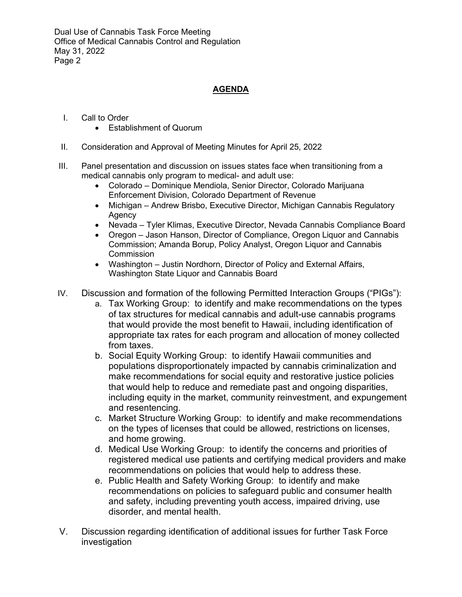# **AGENDA**

- I. Call to Order
	- Establishment of Quorum
- II. Consideration and Approval of Meeting Minutes for April 25, 2022
- III. Panel presentation and discussion on issues states face when transitioning from a medical cannabis only program to medical- and adult use:
	- Colorado Dominique Mendiola, Senior Director, Colorado Marijuana Enforcement Division, Colorado Department of Revenue
	- Michigan Andrew Brisbo, Executive Director, Michigan Cannabis Regulatory Agency
	- Nevada Tyler Klimas, Executive Director, Nevada Cannabis Compliance Board
	- Oregon Jason Hanson, Director of Compliance, Oregon Liquor and Cannabis Commission; Amanda Borup, Policy Analyst, Oregon Liquor and Cannabis Commission
	- Washington Justin Nordhorn, Director of Policy and External Affairs, Washington State Liquor and Cannabis Board
- IV. Discussion and formation of the following Permitted Interaction Groups ("PIGs"):
	- a. Tax Working Group: to identify and make recommendations on the types of tax structures for medical cannabis and adult-use cannabis programs that would provide the most benefit to Hawaii, including identification of appropriate tax rates for each program and allocation of money collected from taxes.
	- b. Social Equity Working Group: to identify Hawaii communities and populations disproportionately impacted by cannabis criminalization and make recommendations for social equity and restorative justice policies that would help to reduce and remediate past and ongoing disparities, including equity in the market, community reinvestment, and expungement and resentencing.
	- c. Market Structure Working Group: to identify and make recommendations on the types of licenses that could be allowed, restrictions on licenses, and home growing.
	- d. Medical Use Working Group: to identify the concerns and priorities of registered medical use patients and certifying medical providers and make recommendations on policies that would help to address these.
	- e. Public Health and Safety Working Group: to identify and make recommendations on policies to safeguard public and consumer health and safety, including preventing youth access, impaired driving, use disorder, and mental health.
- V. Discussion regarding identification of additional issues for further Task Force investigation